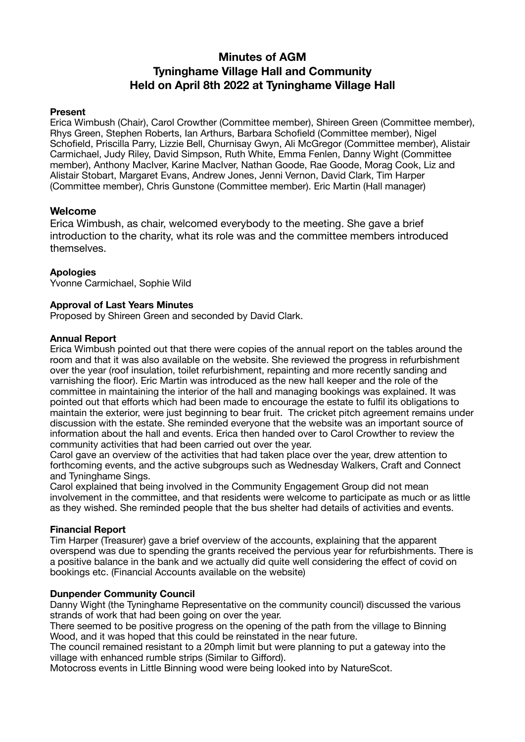# **Minutes of AGM Tyninghame Village Hall and Community Held on April 8th 2022 at Tyninghame Village Hall**

## **Present**

Erica Wimbush (Chair), Carol Crowther (Committee member), Shireen Green (Committee member), Rhys Green, Stephen Roberts, Ian Arthurs, Barbara Schofield (Committee member), Nigel Schofield, Priscilla Parry, Lizzie Bell, Churnisay Gwyn, Ali McGregor (Committee member), Alistair Carmichael, Judy Riley, David Simpson, Ruth White, Emma Fenlen, Danny Wight (Committee member), Anthony MacIver, Karine MacIver, Nathan Goode, Rae Goode, Morag Cook, Liz and Alistair Stobart, Margaret Evans, Andrew Jones, Jenni Vernon, David Clark, Tim Harper (Committee member), Chris Gunstone (Committee member). Eric Martin (Hall manager)

# **Welcome**

Erica Wimbush, as chair, welcomed everybody to the meeting. She gave a brief introduction to the charity, what its role was and the committee members introduced themselves.

# **Apologies**

Yvonne Carmichael, Sophie Wild

## **Approval of Last Years Minutes**

Proposed by Shireen Green and seconded by David Clark.

## **Annual Report**

Erica Wimbush pointed out that there were copies of the annual report on the tables around the room and that it was also available on the website. She reviewed the progress in refurbishment over the year (roof insulation, toilet refurbishment, repainting and more recently sanding and varnishing the floor). Eric Martin was introduced as the new hall keeper and the role of the committee in maintaining the interior of the hall and managing bookings was explained. It was pointed out that efforts which had been made to encourage the estate to fulfil its obligations to maintain the exterior, were just beginning to bear fruit. The cricket pitch agreement remains under discussion with the estate. She reminded everyone that the website was an important source of information about the hall and events. Erica then handed over to Carol Crowther to review the community activities that had been carried out over the year.

Carol gave an overview of the activities that had taken place over the year, drew attention to forthcoming events, and the active subgroups such as Wednesday Walkers, Craft and Connect and Tyninghame Sings.

Carol explained that being involved in the Community Engagement Group did not mean involvement in the committee, and that residents were welcome to participate as much or as little as they wished. She reminded people that the bus shelter had details of activities and events.

#### **Financial Report**

Tim Harper (Treasurer) gave a brief overview of the accounts, explaining that the apparent overspend was due to spending the grants received the pervious year for refurbishments. There is a positive balance in the bank and we actually did quite well considering the effect of covid on bookings etc. (Financial Accounts available on the website)

#### **Dunpender Community Council**

Danny Wight (the Tyninghame Representative on the community council) discussed the various strands of work that had been going on over the year.

There seemed to be positive progress on the opening of the path from the village to Binning Wood, and it was hoped that this could be reinstated in the near future.

The council remained resistant to a 20mph limit but were planning to put a gateway into the village with enhanced rumble strips (Similar to Gifford).

Motocross events in Little Binning wood were being looked into by NatureScot.